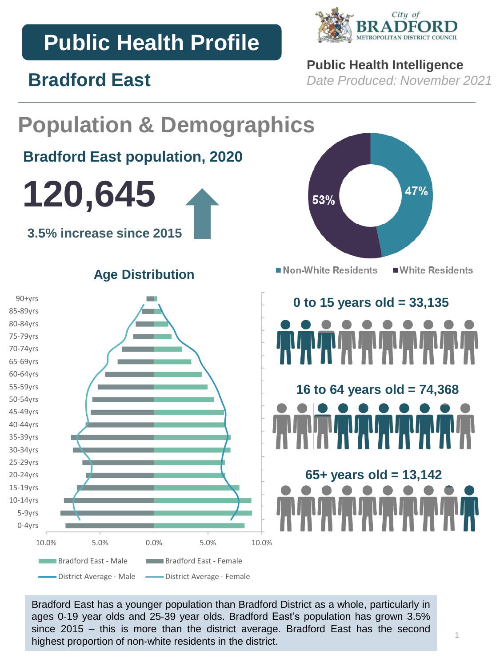# **Public Health Profile**

**Bradford East**



## **Public Health Intelligence**

*Date Produced: November 2021*

### **Population & Demographics Bradford East population, 2020 120,645** 47% 53% **3.5% increase since 2015** Non-White Residents ■ White Residents **Age Distribution** 90+yrs **0 to 15 years old = 33,135**  85-89yrs 80-84yrs 75-79yrs 70-74yrs 65-69yrs 60-64yrs 55-59yrs **16 to 64 years old = 74,368**  50-54yrs 45-49yrs 40-44yrs 35-39yrs 30-34yrs 25-29yrs **65+ years old = 13,142** 20-24yrs 15-19yrs 10-14yrs 5-9yrs 0-4yrs 10.0% 5.0% 0.0% 5.0% 10.0% **Bradford East - Male Bradford East - Female** -District Average - Male - District Average - Female

Bradford East has a younger population than Bradford District as a whole, particularly in ages 0-19 year olds and 25-39 year olds. Bradford East's population has grown 3.5% since 2015 – this is more than the district average. Bradford East has the second highest proportion of non-white residents in the district.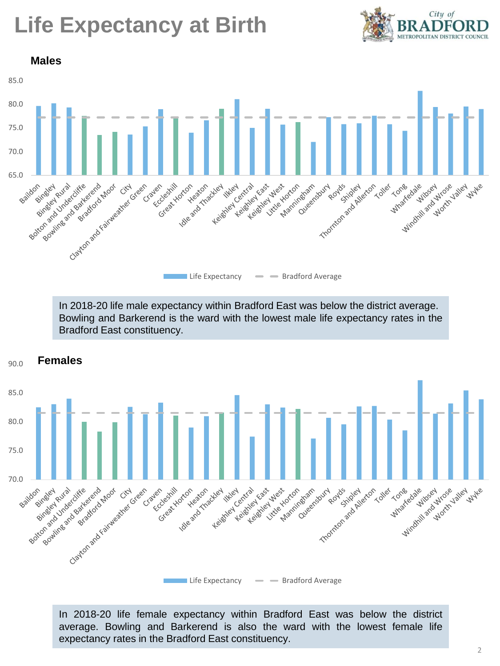# **Life Expectancy at Birth**





In 2018-20 life male expectancy within Bradford East was below the district average. Bowling and Barkerend is the ward with the lowest male life expectancy rates in the Bradford East constituency.



In 2018-20 life female expectancy within Bradford East was below the district average. Bowling and Barkerend is also the ward with the lowest female life expectancy rates in the Bradford East constituency.

2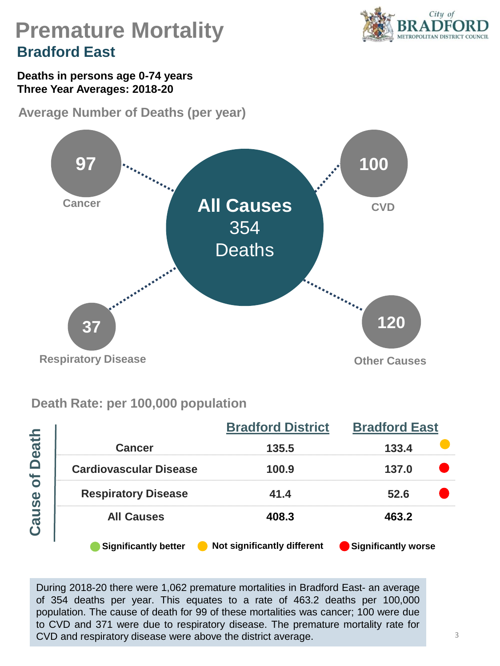

## **Premature Mortality Bradford East**

**Deaths in persons age 0-74 years Three Year Averages: 2018-20**

**Average Number of Deaths (per year)** 



### **Death Rate: per 100,000 population**

|                            |                               | <b>Bradford District</b>    | <b>Bradford East</b><br>133.4<br>137.0<br>52.6<br>463.2 |  |  |
|----------------------------|-------------------------------|-----------------------------|---------------------------------------------------------|--|--|
| <b>Death</b><br>ð<br>Cause | <b>Cancer</b>                 | 135.5                       |                                                         |  |  |
|                            | <b>Cardiovascular Disease</b> | 100.9                       |                                                         |  |  |
|                            | <b>Respiratory Disease</b>    | 41.4                        |                                                         |  |  |
|                            | <b>All Causes</b>             | 408.3                       |                                                         |  |  |
|                            | <b>Significantly better</b>   | Not significantly different | Significantly worse                                     |  |  |

During 2018-20 there were 1,062 premature mortalities in Bradford East- an average of 354 deaths per year. This equates to a rate of 463.2 deaths per 100,000 population. The cause of death for 99 of these mortalities was cancer; 100 were due to CVD and 371 were due to respiratory disease. The premature mortality rate for CVD and respiratory disease were above the district average.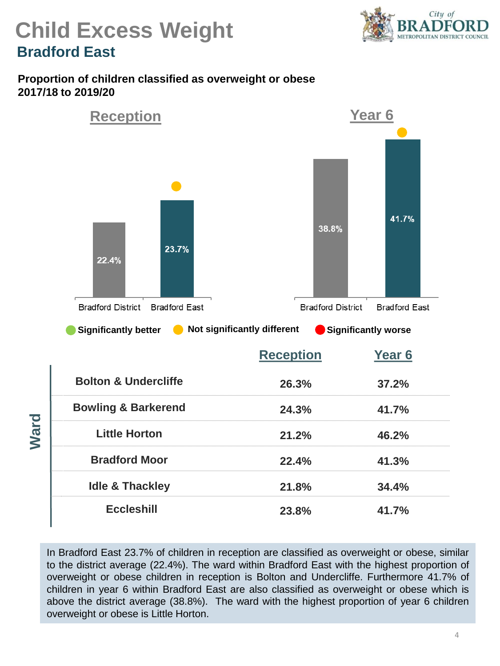

## **Child Excess Weight Bradford East**

#### **Proportion of children classified as overweight or obese 2017/18 to 2019/20**



In Bradford East 23.7% of children in reception are classified as overweight or obese, similar to the district average (22.4%). The ward within Bradford East with the highest proportion of overweight or obese children in reception is Bolton and Undercliffe. Furthermore 41.7% of children in year 6 within Bradford East are also classified as overweight or obese which is above the district average (38.8%). The ward with the highest proportion of year 6 children overweight or obese is Little Horton.